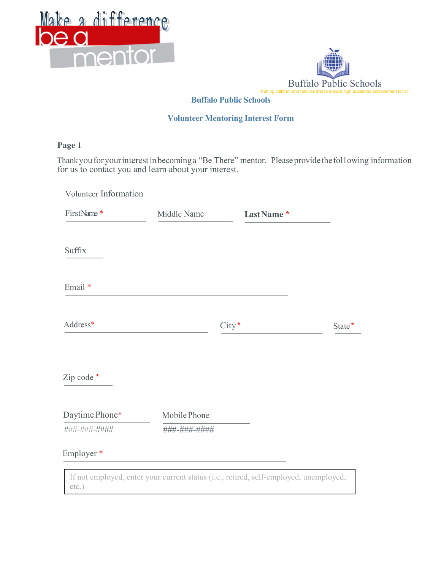



### Buffalo Public Schools

#### Volunteer Mentoring Interest Form

### Page 1

Thank you for your interest in becoming a "Be There" mentor. Please provide the fol1owing information for us to contact you and learn about your interest.

| FirstName*     | Middle Name  | Last Name* |        |
|----------------|--------------|------------|--------|
| Suffix         |              |            |        |
| Email *        |              |            |        |
| Address*       |              | City*      | State* |
| Zip code *     |              |            |        |
| Daytime Phone* | Mobile Phone |            |        |
| ###-###-####   | ###-###-#### |            |        |
|                |              |            |        |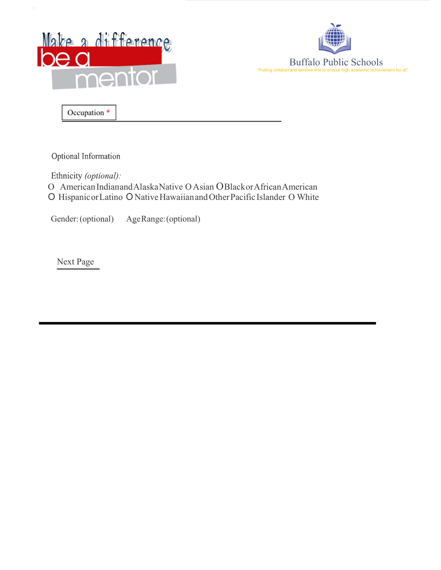



Occupation \*

·

Optional Information

Ethnicity (optional):

O American Indian and Alaska Native O Asian O Black or African American O Hispanic or Latino O Native Hawaiian and Other Pacific Islander O White

Gender: (optional) Age Range: (optional)

Next Page